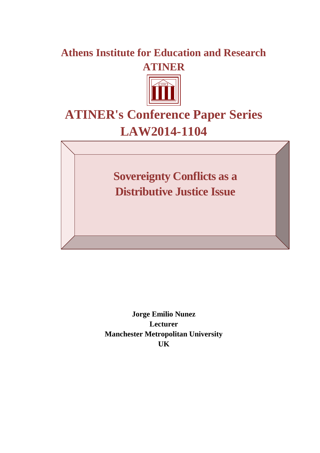# **Athens Institute for Education and Research ATINER**



# **ATINER's Conference Paper Series LAW2014-1104**

**Sovereignty Conflicts as a Distributive Justice Issue**

**Jorge Emilio Nunez Lecturer Manchester Metropolitan University UK**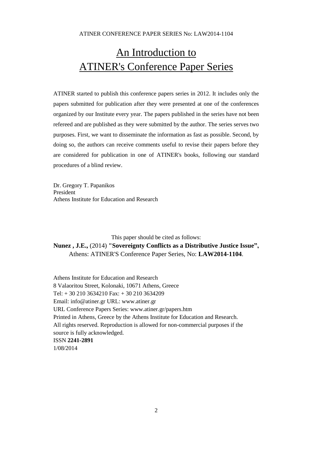# An Introduction to ATINER's Conference Paper Series

ATINER started to publish this conference papers series in 2012. It includes only the papers submitted for publication after they were presented at one of the conferences organized by our Institute every year. The papers published in the series have not been refereed and are published as they were submitted by the author. The series serves two purposes. First, we want to disseminate the information as fast as possible. Second, by doing so, the authors can receive comments useful to revise their papers before they are considered for publication in one of ATINER's books, following our standard procedures of a blind review.

Dr. Gregory T. Papanikos President Athens Institute for Education and Research

This paper should be cited as follows: **Nunez , J.E.,** (2014) **"Sovereignty Conflicts as a Distributive Justice Issue",**  Athens: ATINER'S Conference Paper Series, No: **LAW2014-1104**.

Athens Institute for Education and Research 8 Valaoritou Street, Kolonaki, 10671 Athens, Greece Tel: + 30 210 3634210 Fax: + 30 210 3634209 Email: info@atiner.gr URL: www.atiner.gr URL Conference Papers Series: www.atiner.gr/papers.htm Printed in Athens, Greece by the Athens Institute for Education and Research. All rights reserved. Reproduction is allowed for non-commercial purposes if the source is fully acknowledged. ISSN **2241-2891** 1/08/2014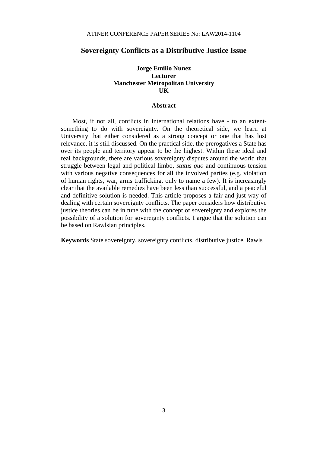# **Sovereignty Conflicts as a Distributive Justice Issue**

# **Jorge Emilio Nunez Lecturer Manchester Metropolitan University UK**

# **Abstract**

Most, if not all, conflicts in international relations have - to an extentsomething to do with sovereignty. On the theoretical side, we learn at University that either considered as a strong concept or one that has lost relevance, it is still discussed. On the practical side, the prerogatives a State has over its people and territory appear to be the highest. Within these ideal and real backgrounds, there are various sovereignty disputes around the world that struggle between legal and political limbo, *status quo* and continuous tension with various negative consequences for all the involved parties (e.g. violation of human rights, war, arms trafficking, only to name a few). It is increasingly clear that the available remedies have been less than successful, and a peaceful and definitive solution is needed. This article proposes a fair and just way of dealing with certain sovereignty conflicts. The paper considers how distributive justice theories can be in tune with the concept of sovereignty and explores the possibility of a solution for sovereignty conflicts. I argue that the solution can be based on Rawlsian principles.

**Keywords** State sovereignty, sovereignty conflicts, distributive justice, Rawls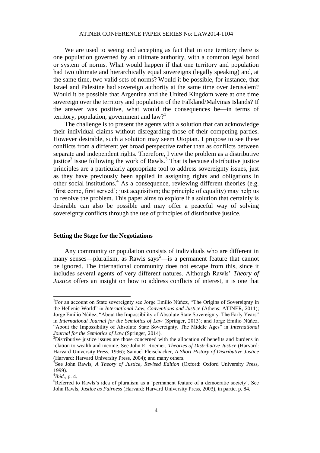We are used to seeing and accepting as fact that in one territory there is one population governed by an ultimate authority, with a common legal bond or system of norms. What would happen if that one territory and population had two ultimate and hierarchically equal sovereigns (legally speaking) and, at the same time, two valid sets of norms? Would it be possible, for instance, that Israel and Palestine had sovereign authority at the same time over Jerusalem? Would it be possible that Argentina and the United Kingdom were at one time sovereign over the territory and population of the Falkland/Malvinas Islands? If the answer was positive, what would the consequences be—in terms of territory, population, government and  $law$ <sup>1</sup>

The challenge is to present the agents with a solution that can acknowledge their individual claims without disregarding those of their competing parties. However desirable, such a solution may seem Utopian. I propose to see these conflicts from a different yet broad perspective rather than as conflicts between separate and independent rights. Therefore, I view the problem as a distributive justice<sup>2</sup> issue following the work of Rawls.<sup>3</sup> That is because distributive justice principles are a particularly appropriate tool to address sovereignty issues, just as they have previously been applied in assigning rights and obligations in other social institutions.<sup>4</sup> As a consequence, reviewing different theories (e.g. 'first come, first served'; just acquisition; the principle of equality) may help us to resolve the problem. This paper aims to explore if a solution that certainly is desirable can also be possible and may offer a peaceful way of solving sovereignty conflicts through the use of principles of distributive justice.

#### **Setting the Stage for the Negotiations**

Any community or population consists of individuals who are different in many senses—pluralism, as Rawls says<sup>5</sup>—is a permanent feature that cannot be ignored. The international community does not escape from this, since it includes several agents of very different natures. Although Rawls' *Theory of Justice* offers an insight on how to address conflicts of interest, it is one that

<sup>&</sup>lt;sup>1</sup>For an account on State sovereignty see Jorge Emilio Núňez, "The Origins of Sovereignty in the Hellenic World" in *International Law, Conventions and Justice* (Athens: ATINER, 2011); Jorge Emilio Núňez, "About the Impossibility of Absolute State Sovereignty. The Early Years" in *International Journal for the Semiotics of Law* (Springer, 2013); and Jorge Emilio Núňez, "About the Impossibility of Absolute State Sovereignty. The Middle Ages" in *International Journal for the Semiotics of Law* (Springer, 2014).

<sup>&</sup>lt;sup>2</sup>Distributive justice issues are those concerned with the allocation of benefits and burdens in relation to wealth and income. See John E. Roemer, *Theories of Distributive Justice* (Harvard: Harvard University Press, 1996); Samuel Fleischacker, *A Short History of Distributive Justice* (Harvard: Harvard University Press, 2004); and many others.

<sup>3</sup> See John Rawls, *A Theory of Justice*, *Revised Edition* (Oxford: Oxford University Press, 1999).

<sup>4</sup> *Ibid*., p. 4.

<sup>5</sup>Referred to Rawls's idea of pluralism as a 'permanent feature of a democratic society'. See John Rawls, *Justice as Fairness* (Harvard: Harvard University Press, 2003), in partic. p. 84.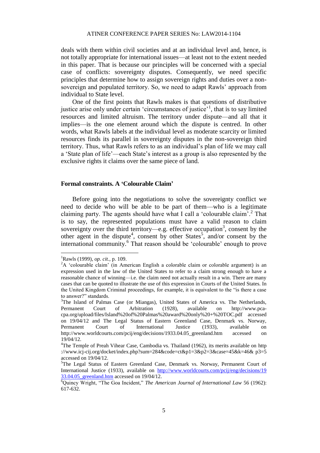deals with them within civil societies and at an individual level and, hence, is not totally appropriate for international issues—at least not to the extent needed in this paper. That is because our principles will be concerned with a special case of conflicts: sovereignty disputes. Consequently, we need specific principles that determine how to assign sovereign rights and duties over a nonsovereign and populated territory. So, we need to adapt Rawls' approach from individual to State level.

One of the first points that Rawls makes is that questions of distributive justice arise only under certain 'circumstances of justice'<sup>1</sup>, that is to say limited resources and limited altruism. The territory under dispute—and all that it implies—is the one element around which the dispute is centred. In other words, what Rawls labels at the individual level as moderate scarcity or limited resources finds its parallel in sovereignty disputes in the non-sovereign third territory. Thus, what Rawls refers to as an individual's plan of life we may call a 'State plan of life'—each State's interest as a group is also represented by the exclusive rights it claims over the same piece of land.

#### **Formal constraints. A 'Colourable Claim'**

Before going into the negotiations to solve the sovereignty conflict we need to decide who will be able to be part of them—who is a legitimate claiming party. The agents should have what I call a 'colourable claim'.<sup>2</sup> That is to say, the represented populations must have a valid reason to claim sovereignty over the third territory—e.g. effective occupation<sup>3</sup>, consent by the other agent in the dispute<sup>4</sup>, consent by other States<sup>5</sup>, and/or consent by the international community.<sup>6</sup> That reason should be 'colourable' enough to prove

 $\overline{\phantom{a}}$ 

<sup>1</sup>Rawls (1999), *op. cit.*, p. 109.

<sup>&</sup>lt;sup>2</sup>A 'colourable claim' (in American English a colorable claim or colorable argument) is an expression used in the law of the United States to refer to a claim strong enough to have a reasonable chance of winning—i.e. the claim need not actually result in a win. There are many cases that can be quoted to illustrate the use of this expression in Courts of the United States. In the United Kingdom Criminal proceedings, for example, it is equivalent to the "is there a case to answer?" standards.

<sup>&</sup>lt;sup>3</sup>The Island of Palmas Case (or Miangas), United States of America vs. The Netherlands, Permanent Court of Arbitration (1928), available on [http://www.pca](http://www.pca-cpa.org/upload/files/Island%20of%20Palmas%20award%20only%20+%20TOC.pdf)[cpa.org/upload/files/Island%20of%20Palmas%20award%20only%20+%20TOC.pdf](http://www.pca-cpa.org/upload/files/Island%20of%20Palmas%20award%20only%20+%20TOC.pdf) accessed on 19/04/12 and The Legal Status of Eastern Greenland Case, Denmark vs. Norway, Permanent Court of International Justice (1933), available on http://www.worldcourts.com/pcij/eng/decisions/1933.04.05 greenland.htm accessed on 19/04/12.

<sup>&</sup>lt;sup>4</sup>The Temple of Preah Vihear Case, Cambodia vs. Thailand (1962), its merits available on [http](http://www.icj-cij.org/docket/index.php?sum=284&code=ct&p1=3&p2=3&case=45&k=46&p3=5) [://www.icj-cij.org/docket/index.php?sum=284&code=ct&p1=3&p2=3&case=45&k=46&](http://www.icj-cij.org/docket/index.php?sum=284&code=ct&p1=3&p2=3&case=45&k=46&p3=5) p3=5 accessed on 19/04/12.

<sup>5</sup>The Legal Status of Eastern Greenland Case, Denmark vs. Norway, Permanent Court of International Justice (1933), available on [http://www.worldcourts.com/pcij/eng/decisions/19](http://www.worldcourts.com/pcij/eng/decisions/19%2033.04.05_greenland.htm) 33.04.05 greenland.htm accessed on 19/04/12.

<sup>6</sup>Quincy Wright, "The Goa Incident," *The American Journal of International Law* 56 (1962): 617-632.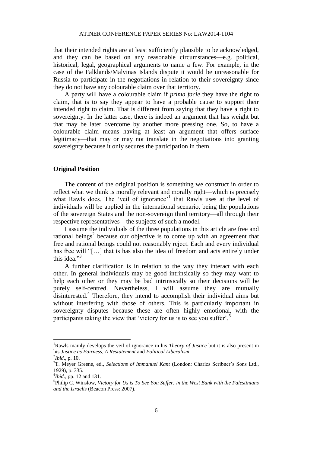that their intended rights are at least sufficiently plausible to be acknowledged, and they can be based on any reasonable circumstances—e.g. political, historical, legal, geographical arguments to name a few. For example, in the case of the Falklands/Malvinas Islands dispute it would be unreasonable for Russia to participate in the negotiations in relation to their sovereignty since they do not have any colourable claim over that territory.

A party will have a colourable claim if *prima facie* they have the right to claim, that is to say they appear to have a probable cause to support their intended right to claim. That is different from saying that they have a right to sovereignty. In the latter case, there is indeed an argument that has weight but that may be later overcome by another more pressing one. So, to have a colourable claim means having at least an argument that offers surface legitimacy—that may or may not translate in the negotiations into granting sovereignty because it only secures the participation in them.

# **Original Position**

The content of the original position is something we construct in order to reflect what we think is morally relevant and morally right—which is precisely what Rawls does. The 'veil of ignorance'<sup>1</sup> that Rawls uses at the level of individuals will be applied in the international scenario, being the populations of the sovereign States and the non-sovereign third territory—all through their respective representatives—the subjects of such a model.

I assume the individuals of the three populations in this article are free and rational beings<sup>2</sup> because our objective is to come up with an agreement that free and rational beings could not reasonably reject. Each and every individual has free will "[...] that is has also the idea of freedom and acts entirely under this idea."<sup>3</sup>

A further clarification is in relation to the way they interact with each other. In general individuals may be good intrinsically so they may want to help each other or they may be bad intrinsically so their decisions will be purely self-centred. Nevertheless, I will assume they are mutually disinterested.<sup>4</sup> Therefore, they intend to accomplish their individual aims but without interfering with those of others. This is particularly important in sovereignty disputes because these are often highly emotional, with the participants taking the view that 'victory for us is to see you suffer'.<sup>5</sup>

<sup>1</sup>Rawls mainly develops the veil of ignorance in his *Theory of Justice* but it is also present in his *Justice as Fairness, A Restatement* and *Political Liberalism*.

 $^{2}Ibid., p. 10.$ 

<sup>&</sup>lt;sup>3</sup>T. Meyer Greene, ed., *Selections of Immanuel Kant* (London: Charles Scribner's Sons Ltd., 1929), p. 335.

<sup>4</sup> *Ibid*., pp. 12 and 131.

<sup>5</sup> Philip C. Winslow, *Victory for Us is To See You Suffer: in the West Bank with the Palestinians and the Israelis* (Beacon Press: 2007).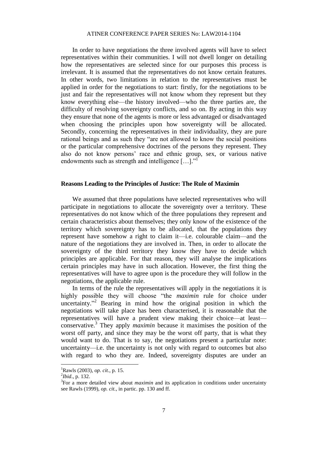# ATINER CONFERENCE PAPER SERIES No: LAW2014-1104

In order to have negotiations the three involved agents will have to select representatives within their communities. I will not dwell longer on detailing how the representatives are selected since for our purposes this process is irrelevant. It is assumed that the representatives do not know certain features. In other words, two limitations in relation to the representatives must be applied in order for the negotiations to start: firstly, for the negotiations to be just and fair the representatives will not know whom they represent but they know everything else—the history involved—who the three parties are, the difficulty of resolving sovereignty conflicts, and so on. By acting in this way they ensure that none of the agents is more or less advantaged or disadvantaged when choosing the principles upon how sovereignty will be allocated. Secondly, concerning the representatives in their individuality, they are pure rational beings and as such they "are not allowed to know the social positions or the particular comprehensive doctrines of the persons they represent. They also do not know persons' race and ethnic group, sex, or various native endowments such as strength and intelligence  $[\dots]$ ."

#### **Reasons Leading to the Principles of Justice: The Rule of Maximin**

We assumed that three populations have selected representatives who will participate in negotiations to allocate the sovereignty over a territory. These representatives do not know which of the three populations they represent and certain characteristics about themselves; they only know of the existence of the territory which sovereignty has to be allocated, that the populations they represent have somehow a right to claim it—i.e. colourable claim—and the nature of the negotiations they are involved in. Then, in order to allocate the sovereignty of the third territory they know they have to decide which principles are applicable. For that reason, they will analyse the implications certain principles may have in such allocation. However, the first thing the representatives will have to agree upon is the procedure they will follow in the negotiations, the applicable rule.

In terms of the rule the representatives will apply in the negotiations it is highly possible they will choose "the *maximin* rule for choice under uncertainty."<sup>2</sup> Bearing in mind how the original position in which the negotiations will take place has been characterised, it is reasonable that the representatives will have a prudent view making their choice—at least conservative.<sup>3</sup> They apply *maximin* because it maximises the position of the worst off party, and since they may be the worst off party, that is what they would want to do. That is to say, the negotiations present a particular note: uncertainty—i.e. the uncertainty is not only with regard to outcomes but also with regard to who they are. Indeed, sovereignty disputes are under an

<sup>1</sup>Rawls (2003), *op. cit.*, p. 15.

<sup>2</sup> *Ibid*., p. 132.

<sup>&</sup>lt;sup>3</sup>For a more detailed view about *maximin* and its application in conditions under uncertainty see Rawls (1999), *op. cit.*, in partic. pp. 130 and ff.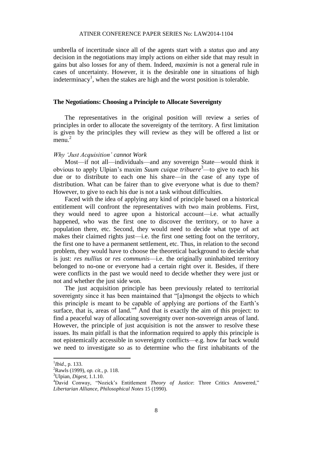umbrella of incertitude since all of the agents start with a *status quo* and any decision in the negotiations may imply actions on either side that may result in gains but also losses for any of them. Indeed, *maximin* is not a general rule in cases of uncertainty. However, it is the desirable one in situations of high indeterminacy<sup>1</sup>, when the stakes are high and the worst position is tolerable.

# **The Negotiations: Choosing a Principle to Allocate Sovereignty**

The representatives in the original position will review a series of principles in order to allocate the sovereignty of the territory. A first limitation is given by the principles they will review as they will be offered a list or menu. $<sup>2</sup>$ </sup>

#### *Why 'Just Acquisition' cannot Work*

Most—if not all—individuals—and any sovereign State—would think it obvious to apply Ulpian's maxim *Suum cuique tribuere*<sup>3</sup>—to give to each his due or to distribute to each one his share—in the case of any type of distribution. What can be fairer than to give everyone what is due to them? However, to give to each his due is not a task without difficulties.

Faced with the idea of applying any kind of principle based on a historical entitlement will confront the representatives with two main problems. First, they would need to agree upon a historical account—i.e. what actually happened, who was the first one to discover the territory, or to have a population there, etc. Second, they would need to decide what type of act makes their claimed rights just—i.e. the first one setting foot on the territory, the first one to have a permanent settlement, etc. Thus, in relation to the second problem, they would have to choose the theoretical background to decide what is just: *res nullius* or *res communis*—i.e. the originally uninhabited territory belonged to no-one or everyone had a certain right over it. Besides, if there were conflicts in the past we would need to decide whether they were just or not and whether the just side won.

The just acquisition principle has been previously related to territorial sovereignty since it has been maintained that "[a]mongst the objects to which this principle is meant to be capable of applying are portions of the Earth's surface, that is, areas of land."<sup>4</sup> And that is exactly the aim of this project: to find a peaceful way of allocating sovereignty over non-sovereign areas of land. However, the principle of just acquisition is not the answer to resolve these issues. Its main pitfall is that the information required to apply this principle is not epistemically accessible in sovereignty conflicts—e.g. how far back would we need to investigate so as to determine who the first inhabitants of the

<sup>1</sup> *Ibid*., p. 133.

<sup>2</sup>Rawls (1999), *op. cit.*, p. 118.

<sup>3</sup>Ulpian, *Digest*, 1.1.10.

<sup>4</sup>David Conway, "Nozick's Entitlement *Theory of Justice*: Three Critics Answered," *Libertarian Alliance, Philosophical Notes* 15 (1990).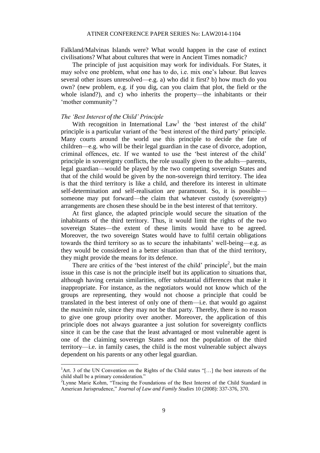Falkland/Malvinas Islands were? What would happen in the case of extinct civilisations? What about cultures that were in Ancient Times nomadic?

The principle of just acquisition may work for individuals. For States, it may solve one problem, what one has to do, i.e. mix one's labour. But leaves several other issues unresolved—e.g. a) who did it first? b) how much do you own? (new problem, e.g. if you dig, can you claim that plot, the field or the whole island?), and c) who inherits the property—the inhabitants or their 'mother community'?

# *The 'Best Interest of the Child' Principle*

 $\overline{a}$ 

With recognition in International  $Law<sup>1</sup>$  the 'best interest of the child' principle is a particular variant of the 'best interest of the third party' principle. Many courts around the world use this principle to decide the fate of children—e.g. who will be their legal guardian in the case of divorce, adoption, criminal offences, etc. If we wanted to use the 'best interest of the child' principle in sovereignty conflicts, the role usually given to the adults—parents, legal guardian—would be played by the two competing sovereign States and that of the child would be given by the non-sovereign third territory. The idea is that the third territory is like a child, and therefore its interest in ultimate self-determination and self-realisation are paramount. So, it is possible someone may put forward—the claim that whatever custody (sovereignty) arrangements are chosen these should be in the best interest of that territory.

At first glance, the adapted principle would secure the situation of the inhabitants of the third territory. Thus, it would limit the rights of the two sovereign States—the extent of these limits would have to be agreed. Moreover, the two sovereign States would have to fulfil certain obligations towards the third territory so as to secure the inhabitants' well-being—e.g. as they would be considered in a better situation than that of the third territory, they might provide the means for its defence.

There are critics of the 'best interest of the child' principle<sup>2</sup>, but the main issue in this case is not the principle itself but its application to situations that, although having certain similarities, offer substantial differences that make it inappropriate. For instance, as the negotiators would not know which of the groups are representing, they would not choose a principle that could be translated in the best interest of only one of them—i.e. that would go against the *maximin* rule, since they may not be that party. Thereby, there is no reason to give one group priority over another. Moreover, the application of this principle does not always guarantee a just solution for sovereignty conflicts since it can be the case that the least advantaged or most vulnerable agent is one of the claiming sovereign States and not the population of the third territory—i.e. in family cases, the child is the most vulnerable subject always dependent on his parents or any other legal guardian.

<sup>&</sup>lt;sup>1</sup>Art. 3 of the UN Convention on the Rights of the Child states "[...] the best interests of the child shall be a primary consideration."

<sup>&</sup>lt;sup>2</sup>Lynne Marie Kohm, "Tracing the Foundations of the Best Interest of the Child Standard in American Jurisprudence," *Journal of Law and Family Studies* 10 (2008): 337-376, 370.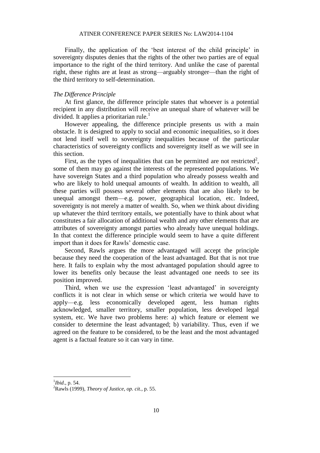Finally, the application of the 'best interest of the child principle' in sovereignty disputes denies that the rights of the other two parties are of equal importance to the right of the third territory. And unlike the case of parental right, these rights are at least as strong—arguably stronger—than the right of the third territory to self-determination.

# *The Difference Principle*

At first glance, the difference principle states that whoever is a potential recipient in any distribution will receive an unequal share of whatever will be divided. It applies a prioritarian rule.<sup>1</sup>

However appealing, the difference principle presents us with a main obstacle. It is designed to apply to social and economic inequalities, so it does not lend itself well to sovereignty inequalities because of the particular characteristics of sovereignty conflicts and sovereignty itself as we will see in this section.

First, as the types of inequalities that can be permitted are not restricted<sup>2</sup>, some of them may go against the interests of the represented populations. We have sovereign States and a third population who already possess wealth and who are likely to hold unequal amounts of wealth. In addition to wealth, all these parties will possess several other elements that are also likely to be unequal amongst them—e.g. power, geographical location, etc. Indeed, sovereignty is not merely a matter of wealth. So, when we think about dividing up whatever the third territory entails, we potentially have to think about what constitutes a fair allocation of additional wealth and any other elements that are attributes of sovereignty amongst parties who already have unequal holdings. In that context the difference principle would seem to have a quite different import than it does for Rawls' domestic case.

Second, Rawls argues the more advantaged will accept the principle because they need the cooperation of the least advantaged. But that is not true here. It fails to explain why the most advantaged population should agree to lower its benefits only because the least advantaged one needs to see its position improved.

Third, when we use the expression 'least advantaged' in sovereignty conflicts it is not clear in which sense or which criteria we would have to apply—e.g. less economically developed agent, less human rights acknowledged, smaller territory, smaller population, less developed legal system, etc. We have two problems here: a) which feature or element we consider to determine the least advantaged; b) variability. Thus, even if we agreed on the feature to be considered, to be the least and the most advantaged agent is a factual feature so it can vary in time.

<sup>1</sup> *Ibid*., p. 54.

<sup>2</sup>Rawls (1999), *Theory of Justice*, *op. cit.*, p. 55.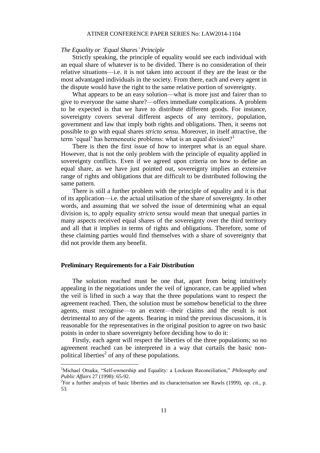#### ATINER CONFERENCE PAPER SERIES No: LAW2014-1104

#### *The Equality or 'Equal Shares' Principle*

Strictly speaking, the principle of equality would see each individual with an equal share of whatever is to be divided. There is no consideration of their relative situations—i.e. it is not taken into account if they are the least or the most advantaged individuals in the society. From there, each and every agent in the dispute would have the right to the same relative portion of sovereignty.

What appears to be an easy solution—what is more just and fairer than to give to everyone the same share?—offers immediate complications. A problem to be expected is that we have to distribute different goods. For instance, sovereignty covers several different aspects of any territory, population, government and law that imply both rights and obligations. Then, it seems not possible to go with equal shares *stricto sensu*. Moreover, in itself attractive, the term 'equal' has hermeneutic problems: what is an equal division?<sup>1</sup>

There is then the first issue of how to interpret what is an equal share. However, that is not the only problem with the principle of equality applied in sovereignty conflicts. Even if we agreed upon criteria on how to define an equal share, as we have just pointed out, sovereignty implies an extensive range of rights and obligations that are difficult to be distributed following the same pattern.

There is still a further problem with the principle of equality and it is that of its application—i.e. the actual utilisation of the share of sovereignty. In other words, and assuming that we solved the issue of determining what an equal division is, to apply equality *stricto sensu* would mean that unequal parties in many aspects received equal shares of the sovereignty over the third territory and all that it implies in terms of rights and obligations. Therefore, some of these claiming parties would find themselves with a share of sovereignty that did not provide them any benefit.

#### **Preliminary Requirements for a Fair Distribution**

 $\overline{a}$ 

The solution reached must be one that, apart from being intuitively appealing in the negotiations under the veil of ignorance, can be applied when the veil is lifted in such a way that the three populations want to respect the agreement reached. Then, the solution must be somehow beneficial to the three agents, must recognise—to an extent—their claims and the result is not detrimental to any of the agents. Bearing in mind the previous discussions, it is reasonable for the representatives in the original position to agree on two basic points in order to share sovereignty before deciding how to do it:

Firstly, each agent will respect the liberties of the three populations; so no agreement reached can be interpreted in a way that curtails the basic nonpolitical liberties<sup>2</sup> of any of these populations.

<sup>1</sup>Michael Otsuka, "Self-ownership and Equality: a Lockean Reconciliation," *Philosophy and Public Affairs* 27 (1998): 65-92.

<sup>2</sup> For a further analysis of basic liberties and its characterisation see Rawls (1999), *op. cit.*, p. 53.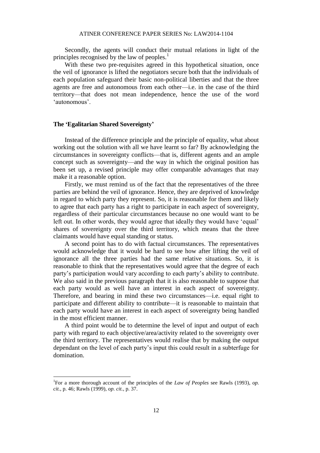#### ATINER CONFERENCE PAPER SERIES No: LAW2014-1104

Secondly, the agents will conduct their mutual relations in light of the principles recognised by the law of peoples. $<sup>1</sup>$ </sup>

With these two pre-requisites agreed in this hypothetical situation, once the veil of ignorance is lifted the negotiators secure both that the individuals of each population safeguard their basic non-political liberties and that the three agents are free and autonomous from each other—i.e. in the case of the third territory—that does not mean independence, hence the use of the word 'autonomous'.

# **The 'Egalitarian Shared Sovereignty'**

 $\overline{a}$ 

Instead of the difference principle and the principle of equality, what about working out the solution with all we have learnt so far? By acknowledging the circumstances in sovereignty conflicts—that is, different agents and an ample concept such as sovereignty—and the way in which the original position has been set up, a revised principle may offer comparable advantages that may make it a reasonable option.

Firstly, we must remind us of the fact that the representatives of the three parties are behind the veil of ignorance. Hence, they are deprived of knowledge in regard to which party they represent. So, it is reasonable for them and likely to agree that each party has a right to participate in each aspect of sovereignty, regardless of their particular circumstances because no one would want to be left out. In other words, they would agree that ideally they would have 'equal' shares of sovereignty over the third territory, which means that the three claimants would have equal standing or status.

A second point has to do with factual circumstances. The representatives would acknowledge that it would be hard to see how after lifting the veil of ignorance all the three parties had the same relative situations. So, it is reasonable to think that the representatives would agree that the degree of each party's participation would vary according to each party's ability to contribute. We also said in the previous paragraph that it is also reasonable to suppose that each party would as well have an interest in each aspect of sovereignty. Therefore, and bearing in mind these two circumstances—i.e. equal right to participate and different ability to contribute—it is reasonable to maintain that each party would have an interest in each aspect of sovereignty being handled in the most efficient manner.

A third point would be to determine the level of input and output of each party with regard to each objective/area/activity related to the sovereignty over the third territory. The representatives would realise that by making the output dependant on the level of each party's input this could result in a subterfuge for domination.

<sup>1</sup> For a more thorough account of the principles of the *Law of Peoples* see Rawls (1993), *op. cit.*, p. 46; Rawls (1999), *op. cit.*, p. 37.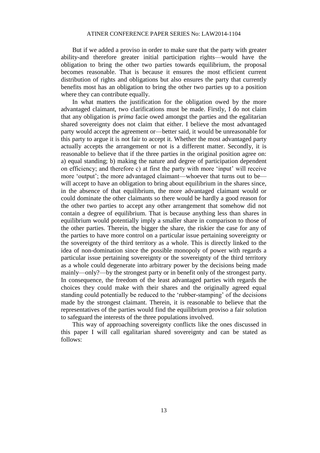But if we added a proviso in order to make sure that the party with greater ability-and therefore greater initial participation rights—would have the obligation to bring the other two parties towards equilibrium, the proposal becomes reasonable. That is because it ensures the most efficient current distribution of rights and obligations but also ensures the party that currently benefits most has an obligation to bring the other two parties up to a position where they can contribute equally.

In what matters the justification for the obligation owed by the more advantaged claimant, two clarifications must be made. Firstly, I do not claim that any obligation is *prima* facie owed amongst the parties and the egalitarian shared sovereignty does not claim that either. I believe the most advantaged party would accept the agreement or—better said, it would be unreasonable for this party to argue it is not fair to accept it. Whether the most advantaged party actually accepts the arrangement or not is a different matter. Secondly, it is reasonable to believe that if the three parties in the original position agree on: a) equal standing; b) making the nature and degree of participation dependent on efficiency; and therefore c) at first the party with more 'input' will receive more 'output'; the more advantaged claimant—whoever that turns out to be will accept to have an obligation to bring about equilibrium in the shares since, in the absence of that equilibrium, the more advantaged claimant would or could dominate the other claimants so there would be hardly a good reason for the other two parties to accept any other arrangement that somehow did not contain a degree of equilibrium. That is because anything less than shares in equilibrium would potentially imply a smaller share in comparison to those of the other parties. Therein, the bigger the share, the riskier the case for any of the parties to have more control on a particular issue pertaining sovereignty or the sovereignty of the third territory as a whole. This is directly linked to the idea of non-domination since the possible monopoly of power with regards a particular issue pertaining sovereignty or the sovereignty of the third territory as a whole could degenerate into arbitrary power by the decisions being made mainly—only?—by the strongest party or in benefit only of the strongest party. In consequence, the freedom of the least advantaged parties with regards the choices they could make with their shares and the originally agreed equal standing could potentially be reduced to the 'rubber-stamping' of the decisions made by the strongest claimant. Therein, it is reasonable to believe that the representatives of the parties would find the equilibrium proviso a fair solution to safeguard the interests of the three populations involved.

This way of approaching sovereignty conflicts like the ones discussed in this paper I will call egalitarian shared sovereignty and can be stated as follows: